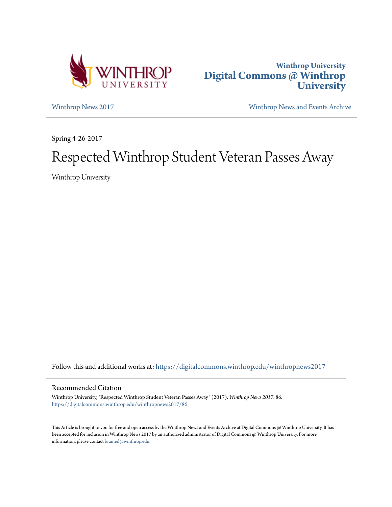



[Winthrop News 2017](https://digitalcommons.winthrop.edu/winthropnews2017?utm_source=digitalcommons.winthrop.edu%2Fwinthropnews2017%2F86&utm_medium=PDF&utm_campaign=PDFCoverPages) [Winthrop News and Events Archive](https://digitalcommons.winthrop.edu/winthropnewsarchives?utm_source=digitalcommons.winthrop.edu%2Fwinthropnews2017%2F86&utm_medium=PDF&utm_campaign=PDFCoverPages)

Spring 4-26-2017

# Respected Winthrop Student Veteran Passes Away

Winthrop University

Follow this and additional works at: [https://digitalcommons.winthrop.edu/winthropnews2017](https://digitalcommons.winthrop.edu/winthropnews2017?utm_source=digitalcommons.winthrop.edu%2Fwinthropnews2017%2F86&utm_medium=PDF&utm_campaign=PDFCoverPages)

### Recommended Citation

Winthrop University, "Respected Winthrop Student Veteran Passes Away" (2017). *Winthrop News 2017*. 86. [https://digitalcommons.winthrop.edu/winthropnews2017/86](https://digitalcommons.winthrop.edu/winthropnews2017/86?utm_source=digitalcommons.winthrop.edu%2Fwinthropnews2017%2F86&utm_medium=PDF&utm_campaign=PDFCoverPages)

This Article is brought to you for free and open access by the Winthrop News and Events Archive at Digital Commons @ Winthrop University. It has been accepted for inclusion in Winthrop News 2017 by an authorized administrator of Digital Commons @ Winthrop University. For more information, please contact [bramed@winthrop.edu](mailto:bramed@winthrop.edu).